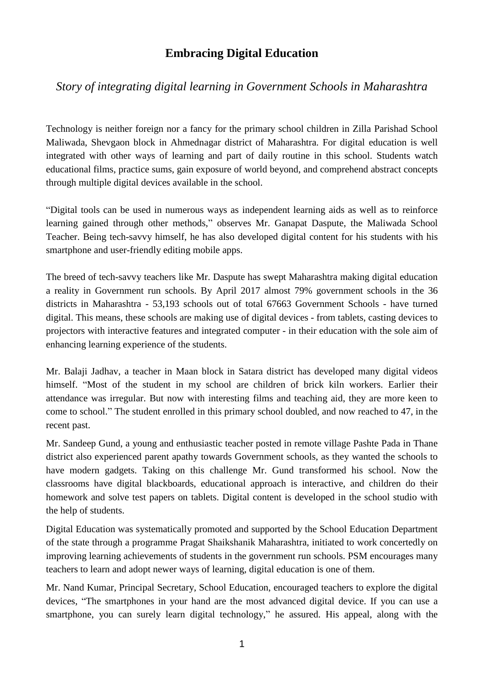## **Embracing Digital Education**

## *Story of integrating digital learning in Government Schools in Maharashtra*

Technology is neither foreign nor a fancy for the primary school children in Zilla Parishad School Maliwada, Shevgaon block in Ahmednagar district of Maharashtra. For digital education is well integrated with other ways of learning and part of daily routine in this school. Students watch educational films, practice sums, gain exposure of world beyond, and comprehend abstract concepts through multiple digital devices available in the school.

"Digital tools can be used in numerous ways as independent learning aids as well as to reinforce learning gained through other methods," observes Mr. Ganapat Daspute, the Maliwada School Teacher. Being tech-savvy himself, he has also developed digital content for his students with his smartphone and user-friendly editing mobile apps.

The breed of tech-savvy teachers like Mr. Daspute has swept Maharashtra making digital education a reality in Government run schools. By April 2017 almost 79% government schools in the 36 districts in Maharashtra - 53,193 schools out of total 67663 Government Schools - have turned digital. This means, these schools are making use of digital devices - from tablets, casting devices to projectors with interactive features and integrated computer - in their education with the sole aim of enhancing learning experience of the students.

Mr. Balaji Jadhav, a teacher in Maan block in Satara district has developed many digital videos himself. "Most of the student in my school are children of brick kiln workers. Earlier their attendance was irregular. But now with interesting films and teaching aid, they are more keen to come to school." The student enrolled in this primary school doubled, and now reached to 47, in the recent past.

Mr. Sandeep Gund, a young and enthusiastic teacher posted in remote village Pashte Pada in Thane district also experienced parent apathy towards Government schools, as they wanted the schools to have modern gadgets. Taking on this challenge Mr. Gund transformed his school. Now the classrooms have digital blackboards, educational approach is interactive, and children do their homework and solve test papers on tablets. Digital content is developed in the school studio with the help of students.

Digital Education was systematically promoted and supported by the School Education Department of the state through a programme Pragat Shaikshanik Maharashtra, initiated to work concertedly on improving learning achievements of students in the government run schools. PSM encourages many teachers to learn and adopt newer ways of learning, digital education is one of them.

Mr. Nand Kumar, Principal Secretary, School Education, encouraged teachers to explore the digital devices, "The smartphones in your hand are the most advanced digital device. If you can use a smartphone, you can surely learn digital technology," he assured. His appeal, along with the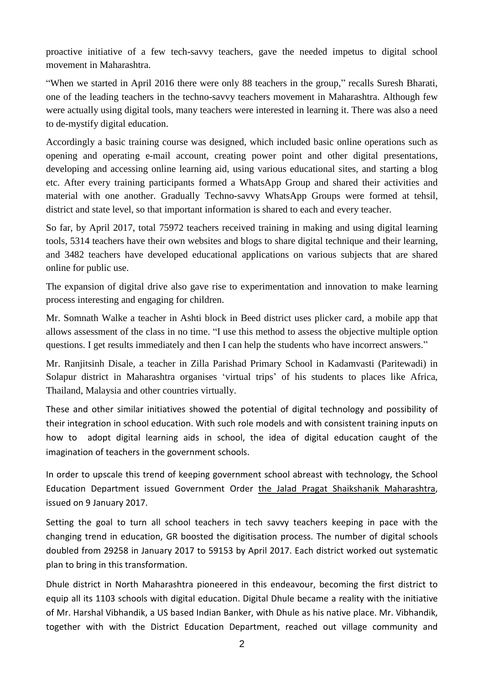proactive initiative of a few tech-savvy teachers, gave the needed impetus to digital school movement in Maharashtra.

"When we started in April 2016 there were only 88 teachers in the group," recalls Suresh Bharati, one of the leading teachers in the techno-savvy teachers movement in Maharashtra. Although few were actually using digital tools, many teachers were interested in learning it. There was also a need to de-mystify digital education.

Accordingly a basic training course was designed, which included basic online operations such as opening and operating e-mail account, creating power point and other digital presentations, developing and accessing online learning aid, using various educational sites, and starting a blog etc. After every training participants formed a WhatsApp Group and shared their activities and material with one another. Gradually Techno-savvy WhatsApp Groups were formed at tehsil, district and state level, so that important information is shared to each and every teacher.

So far, by April 2017, total 75972 teachers received training in making and using digital learning tools, 5314 teachers have their own websites and blogs to share digital technique and their learning, and 3482 teachers have developed educational applications on various subjects that are shared online for public use.

The expansion of digital drive also gave rise to experimentation and innovation to make learning process interesting and engaging for children.

Mr. Somnath Walke a teacher in Ashti block in Beed district uses plicker card, a mobile app that allows assessment of the class in no time. "I use this method to assess the objective multiple option questions. I get results immediately and then I can help the students who have incorrect answers."

Mr. Ranjitsinh Disale, a teacher in Zilla Parishad Primary School in Kadamvasti (Paritewadi) in Solapur district in Maharashtra organises 'virtual trips' of his students to places like Africa, Thailand, Malaysia and other countries virtually.

These and other similar initiatives showed the potential of digital technology and possibility of their integration in school education. With such role models and with consistent training inputs on how to adopt digital learning aids in school, the idea of digital education caught of the imagination of teachers in the government schools.

In order to upscale this trend of keeping government school abreast with technology, the School Education Department issued Government Order the Jalad Pragat Shaikshanik [Maharashtra,](https://www.maharashtra.gov.in/site/Upload/Government%20Resolutions/Marathi/201701091217229521.pdf) issued on 9 January 2017.

Setting the goal to turn all school teachers in tech savvy teachers keeping in pace with the changing trend in education, GR boosted the digitisation process. The number of digital schools doubled from 29258 in January 2017 to 59153 by April 2017. Each district worked out systematic plan to bring in this transformation.

Dhule district in North Maharashtra pioneered in this endeavour, becoming the first district to equip all its 1103 schools with digital education. Digital Dhule became a reality with the initiative of Mr. Harshal Vibhandik, a US based Indian Banker, with Dhule as his native place. Mr. Vibhandik, together with with the District Education Department, reached out village community and